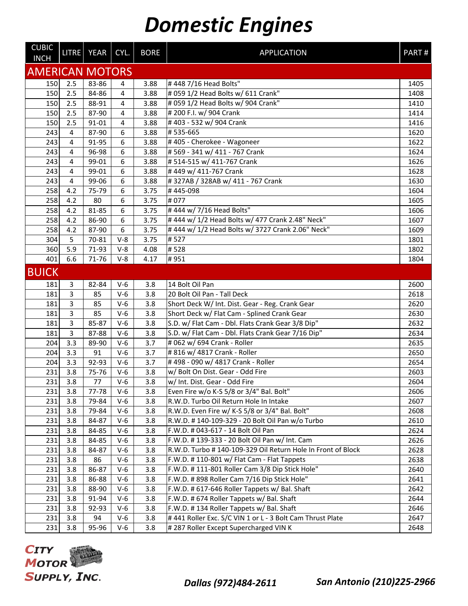| <b>CUBIC</b><br><b>INCH</b> |     | LITRE YEAR | CYL.                    | <b>BORE</b> | <b>APPLICATION</b>                                          | PART# |
|-----------------------------|-----|------------|-------------------------|-------------|-------------------------------------------------------------|-------|
| <b>AMERICAN MOTORS</b>      |     |            |                         |             |                                                             |       |
| 150                         | 2.5 | 83-86      | 4                       | 3.88        | #448 7/16 Head Bolts"                                       | 1405  |
| 150                         | 2.5 | 84-86      | 4                       | 3.88        | # 059 1/2 Head Bolts w/ 611 Crank"                          | 1408  |
| 150                         | 2.5 | 88-91      | $\overline{\mathbf{4}}$ | 3.88        | # 059 1/2 Head Bolts w/ 904 Crank"                          | 1410  |
| 150                         | 2.5 | 87-90      | 4                       | 3.88        | # 200 F.I. w/ 904 Crank                                     | 1414  |
| 150                         | 2.5 | 91-01      | 4                       | 3.88        | #403 - 532 w/904 Crank                                      | 1416  |
| 243                         | 4   | 87-90      | 6                       | 3.88        | #535-665                                                    | 1620  |
| 243                         | 4   | 91-95      | 6                       | 3.88        | #405 - Cherokee - Wagoneer                                  | 1622  |
| 243                         | 4   | 96-98      | 6                       | 3.88        | # 569 - 341 w/ 411 - 767 Crank                              | 1624  |
| 243                         | 4   | 99-01      | 6                       | 3.88        | #514-515 w/411-767 Crank                                    | 1626  |
| 243                         | 4   | 99-01      | 6                       | 3.88        | #449 w/411-767 Crank                                        | 1628  |
| 243                         | 4   | 99-06      | 6                       | 3.88        | #327AB / 328AB w/ 411 - 767 Crank                           | 1630  |
| 258                         | 4.2 | 75-79      | 6                       | 3.75        | #445-098                                                    | 1604  |
| 258                         | 4.2 | 80         | 6                       | 3.75        | #077                                                        | 1605  |
| 258                         | 4.2 | 81-85      | 6                       | 3.75        | #444 w/7/16 Head Bolts"                                     | 1606  |
| 258                         | 4.2 | 86-90      | 6                       | 3.75        | # 444 w/ 1/2 Head Bolts w/ 477 Crank 2.48" Neck"            | 1607  |
| 258                         | 4.2 | 87-90      | 6                       | 3.75        | #444 w/ 1/2 Head Bolts w/ 3727 Crank 2.06" Neck"            | 1609  |
| 304                         | 5   | 70-81      | $V-8$                   | 3.75        | #527                                                        | 1801  |
| 360                         | 5.9 | 71-93      | $V-8$                   | 4.08        | #528                                                        | 1802  |
| 401                         | 6.6 | 71-76      | $V-8$                   | 4.17        | #951                                                        | 1804  |
| <b>BUICK</b>                |     |            |                         |             |                                                             |       |
| 181                         | 3   | 82-84      | $V-6$                   | 3.8         | 14 Bolt Oil Pan                                             | 2600  |
| 181                         | 3   | 85         | $V-6$                   | 3.8         | 20 Bolt Oil Pan - Tall Deck                                 | 2618  |
| 181                         | 3   | 85         | $V-6$                   | 3.8         | Short Deck W/ Int. Dist. Gear - Reg. Crank Gear             | 2620  |
| 181                         | 3   | 85         | $V-6$                   | 3.8         | Short Deck w/ Flat Cam - Splined Crank Gear                 | 2630  |
| 181                         | 3   | 85-87      | $V-6$                   | 3.8         | S.D. w/ Flat Cam - Dbl. Flats Crank Gear 3/8 Dip"           | 2632  |
| 181                         | 3   | 87-88      | $V-6$                   | 3.8         | S.D. w/ Flat Cam - Dbl. Flats Crank Gear 7/16 Dip"          | 2634  |
| 204                         | 3.3 | 89-90      | $V-6$                   | 3.7         | #062 w/694 Crank - Roller                                   | 2635  |
| 204                         | 3.3 | 91         | $V-6$                   | 3.7         | # 816 w/ 4817 Crank - Roller                                | 2650  |
| 204                         | 3.3 | 92-93      | $V-6$                   | 3.7         | #498 - 090 w/4817 Crank - Roller                            | 2654  |
| 231                         | 3.8 | 75-76      | $V-6$                   | 3.8         | w/ Bolt On Dist. Gear - Odd Fire                            | 2603  |
| 231                         | 3.8 | 77         | $V-6$                   | 3.8         | w/ Int. Dist. Gear - Odd Fire                               | 2604  |
| 231                         | 3.8 | 77-78      | $V-6$                   | 3.8         | Even Fire w/o K-S 5/8 or 3/4" Bal. Bolt"                    | 2606  |
| 231                         | 3.8 | 79-84      | $V-6$                   | 3.8         | R.W.D. Turbo Oil Return Hole In Intake                      | 2607  |
| 231                         | 3.8 | 79-84      | $V-6$                   | 3.8         | R.W.D. Even Fire w/ K-S 5/8 or 3/4" Bal. Bolt"              | 2608  |
| 231                         | 3.8 | 84-87      | $V-6$                   | 3.8         | R.W.D. #140-109-329 - 20 Bolt Oil Pan w/o Turbo             | 2610  |
| 231                         | 3.8 | 84-85      | $V-6$                   | 3.8         | F.W.D. # 043-617 - 14 Bolt Oil Pan                          | 2624  |
| 231                         | 3.8 | 84-85      | $V-6$                   | 3.8         | F.W.D. #139-333 - 20 Bolt Oil Pan w/ Int. Cam               | 2626  |
| 231                         | 3.8 | 84-87      | $V-6$                   | 3.8         | R.W.D. Turbo #140-109-329 Oil Return Hole In Front of Block | 2628  |
| 231                         | 3.8 | 86         | $V-6$                   | 3.8         | F.W.D. #110-801 w/ Flat Cam - Flat Tappets                  | 2638  |
| 231                         | 3.8 | 86-87      | $V-6$                   | 3.8         | F.W.D. #111-801 Roller Cam 3/8 Dip Stick Hole"              | 2640  |
| 231                         | 3.8 | 86-88      | $V-6$                   | 3.8         | F.W.D. # 898 Roller Cam 7/16 Dip Stick Hole"                | 2641  |
| 231                         | 3.8 | 88-90      | $V-6$                   | 3.8         | F.W.D. # 617-646 Roller Tappets w/ Bal. Shaft               | 2642  |
| 231                         | 3.8 | 91-94      | $V-6$                   | 3.8         | F.W.D. # 674 Roller Tappets w/ Bal. Shaft                   | 2644  |
| 231                         | 3.8 | 92-93      | $V-6$                   | 3.8         | F.W.D. #134 Roller Tappets w/ Bal. Shaft                    | 2646  |
| 231                         | 3.8 | 94         | $V-6$                   | 3.8         | #441 Roller Exc. S/C VIN 1 or L - 3 Bolt Cam Thrust Plate   | 2647  |
| 231                         | 3.8 | 95-96      | $V-6$                   | 3.8         | # 287 Roller Except Supercharged VIN K                      | 2648  |

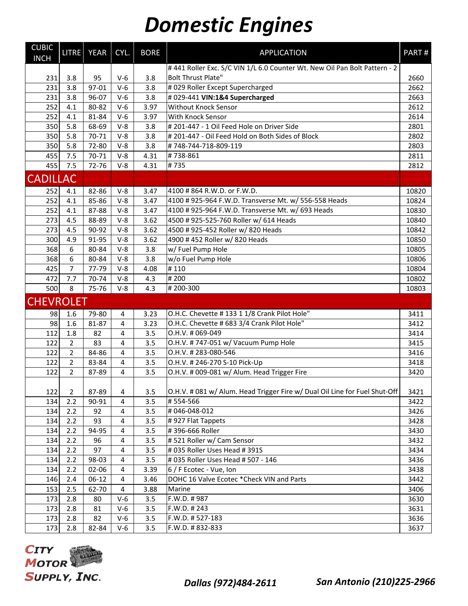| <b>CUBIC</b><br><b>INCH</b> |                | LITRE YEAR | CYL.  | <b>BORE</b> | <b>APPLICATION</b>                                                         | PART# |
|-----------------------------|----------------|------------|-------|-------------|----------------------------------------------------------------------------|-------|
|                             |                |            |       |             | #441 Roller Exc. S/C VIN 1/L 6.0 Counter Wt. New Oil Pan Bolt Pattern - 2  |       |
| 231                         | 3.8            | 95         | $V-6$ | 3.8         | <b>Bolt Thrust Plate"</b>                                                  | 2660  |
| 231                         | 3.8            | 97-01      | $V-6$ | 3.8         | # 029 Roller Except Supercharged                                           | 2662  |
| 231                         | 3.8            | 96-07      | $V-6$ | 3.8         | #029-441 VIN:1&4 Supercharged                                              | 2663  |
| 252                         | 4.1            | 80-82      | $V-6$ | 3.97        | <b>Without Knock Sensor</b>                                                | 2612  |
| 252                         | 4.1            | 81-84      | $V-6$ | 3.97        | With Knock Sensor                                                          | 2614  |
| 350                         | 5.8            | 68-69      | $V-8$ | 3.8         | # 201-447 - 1 Oil Feed Hole on Driver Side                                 | 2801  |
| 350                         | 5.8            | 70-71      | $V-8$ | 3.8         | # 201-447 - Oil Feed Hold on Both Sides of Block                           | 2802  |
| 350                         | 5.8            | 72-80      | $V-8$ | 3.8         | #748-744-718-809-119                                                       | 2803  |
| 455                         | 7.5            | 70-71      | $V-8$ | 4.31        | #738-861                                                                   | 2811  |
| 455                         | 7.5            | 72-76      | $V-8$ | 4.31        | $\frac{1}{4}$ 735                                                          | 2812  |
| <b>CADILLAC</b>             |                |            |       |             |                                                                            |       |
| 252                         | 4.1            | 82-86      | $V-8$ | 3.47        | 4100 #864 R.W.D. or F.W.D.                                                 | 10820 |
| 252                         | 4.1            | 85-86      | $V-8$ | 3.47        | 4100 # 925-964 F.W.D. Transverse Mt. w/ 556-558 Heads                      | 10824 |
| 252                         | 4.1            | 87-88      | $V-8$ | 3.47        | 4100 # 925-964 F.W.D. Transverse Mt. w/ 693 Heads                          | 10830 |
| 273                         | 4.5            | 88-89      | $V-8$ | 3.62        | 4500 # 925-525-760 Roller w/ 614 Heads                                     | 10840 |
| 273                         | 4.5            | 90-92      | $V-8$ | 3.62        | 4500 # 925-452 Roller w/ 820 Heads                                         | 10842 |
| 300                         | 4.9            | 91-95      | $V-8$ | 3.62        | 4900 #452 Roller w/820 Heads                                               | 10850 |
| 368                         | 6              | 80-84      | $V-8$ | 3.8         | w/ Fuel Pump Hole                                                          | 10805 |
| 368                         | 6              | 80-84      | $V-8$ | 3.8         | w/o Fuel Pump Hole                                                         | 10806 |
| 425                         | $\overline{7}$ | 77-79      | $V-8$ | 4.08        | #110                                                                       | 10804 |
| 472                         | 7.7            | 70-74      | $V-8$ | 4.3         | #200                                                                       | 10802 |
| 500                         | 8              | 75-76      | $V-8$ | 4.3         | #200-300                                                                   | 10803 |
| <b>CHEVROLET</b>            |                |            |       |             |                                                                            |       |
| 98                          | 1.6            | 79-80      | 4     | 3.23        | O.H.C. Chevette #13311/8 Crank Pilot Hole"                                 | 3411  |
| 98                          | 1.6            | 81-87      | 4     | 3.23        | O.H.C. Chevette # 683 3/4 Crank Pilot Hole"                                | 3412  |
| 112                         | 1.8            | 82         | 4     | 3.5         | O.H.V. #069-049                                                            | 3414  |
| 122                         | $\overline{2}$ | 83         | 4     | 3.5         | O.H.V. #747-051 w/ Vacuum Pump Hole                                        | 3415  |
| 122                         | $\overline{2}$ | 84-86      | 4     | 3.5         | O.H.V. #283-080-546                                                        | 3416  |
| 122                         | $\overline{2}$ | 83-84      | 4     | 3.5         | O.H.V. #246-270 S-10 Pick-Up                                               | 3418  |
| 122                         | $\overline{2}$ | 87-89      | 4     | 3.5         | O.H.V. # 009-081 w/ Alum. Head Trigger Fire                                | 3420  |
| 122                         | $\overline{2}$ | 87-89      | 4     | 3.5         | O.H.V. # 081 w/ Alum. Head Trigger Fire w/ Dual Oil Line for Fuel Shut-Off | 3421  |
| 134                         | 2.2            | 90-91      | 4     | 3.5         | #554-566                                                                   | 3422  |
| 134                         | 2.2            | 92         | 4     | 3.5         | #046-048-012                                                               | 3426  |
| 134                         | 2.2            | 93         | 4     | 3.5         | #927 Flat Tappets                                                          | 3428  |
| 134                         | 2.2            | 94-95      | 4     | 3.5         | #396-666 Roller                                                            | 3430  |
| 134                         | 2.2            | 96         | 4     | 3.5         | #521 Roller w/ Cam Sensor                                                  | 3432  |
| 134                         | 2.2            | 97         | 4     | 3.5         | # 035 Roller Uses Head # 391S                                              | 3434  |
| 134                         | 2.2            | 98-03      | 4     | 3.5         | # 035 Roller Uses Head # 507 - 146                                         | 3436  |
| 134                         | 2.2            | 02-06      | 4     | 3.39        | 6 / F Ecotec - Vue, Ion                                                    | 3438  |
| 146                         | 2.4            | $06-12$    | 4     | 3.46        | DOHC 16 Valve Ecotec *Check VIN and Parts                                  | 3442  |
| 153                         | 2.5            | 62-70      | 4     | 3.88        | Marine                                                                     | 3406  |
| 173                         | 2.8            | 80         | $V-6$ | 3.5         | F.W.D. #987                                                                | 3630  |
| 173                         | 2.8            | 81         | $V-6$ | 3.5         | F.W.D. #243                                                                | 3631  |
| 173                         | 2.8            | 82         | $V-6$ | 3.5         | F.W.D. #527-183                                                            | 3636  |
| 173                         | 2.8            | 82-84      | $V-6$ | 3.5         | F.W.D. #832-833                                                            | 3637  |

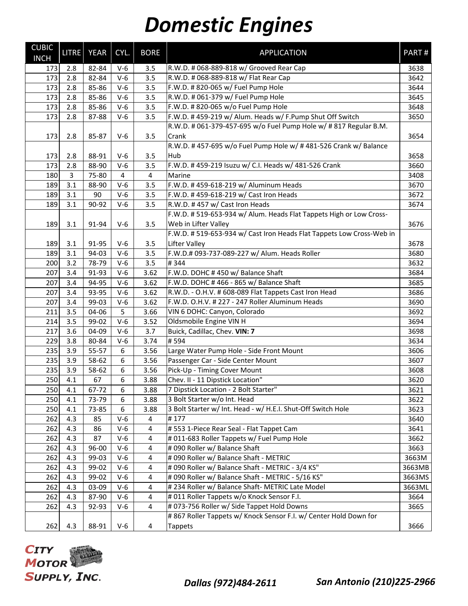| <b>CUBIC</b><br><b>INCH</b> | <b>LITRE</b> | <b>YEAR</b> | CYL.  | <b>BORE</b>    | <b>APPLICATION</b>                                                    | PART#  |
|-----------------------------|--------------|-------------|-------|----------------|-----------------------------------------------------------------------|--------|
| 173                         | 2.8          | 82-84       | $V-6$ | 3.5            | R.W.D. # 068-889-818 w/ Grooved Rear Cap                              | 3638   |
| 173                         | 2.8          | 82-84       | $V-6$ | 3.5            | R.W.D. # 068-889-818 w/ Flat Rear Cap                                 | 3642   |
| 173                         | 2.8          | 85-86       | $V-6$ | 3.5            | F.W.D. # 820-065 w/ Fuel Pump Hole                                    | 3644   |
| 173                         | 2.8          | 85-86       | $V-6$ | 3.5            | R.W.D. # 061-379 w/ Fuel Pump Hole                                    | 3645   |
| 173                         | 2.8          | 85-86       | $V-6$ | 3.5            | F.W.D. # 820-065 w/o Fuel Pump Hole                                   | 3648   |
| 173                         | 2.8          | 87-88       | $V-6$ | 3.5            | F.W.D. #459-219 w/ Alum. Heads w/ F.Pump Shut Off Switch              | 3650   |
|                             |              |             |       |                | R.W.D. # 061-379-457-695 w/o Fuel Pump Hole w/ # 817 Regular B.M.     |        |
| 173                         | 2.8          | 85-87       | $V-6$ | 3.5            | Crank                                                                 | 3654   |
|                             |              |             |       |                | R.W.D. #457-695 w/o Fuel Pump Hole w/ #481-526 Crank w/ Balance       |        |
| 173                         | 2.8          | 88-91       | $V-6$ | 3.5            | Hub                                                                   | 3658   |
| 173                         | 2.8          | 88-90       | $V-6$ | 3.5            | F.W.D. #459-219 Isuzu w/ C.I. Heads w/ 481-526 Crank                  | 3660   |
| 180                         | 3            | 75-80       | 4     | $\overline{4}$ | Marine                                                                | 3408   |
| 189                         | 3.1          | 88-90       | $V-6$ | 3.5            | F.W.D. #459-618-219 w/ Aluminum Heads                                 | 3670   |
| 189                         | 3.1          | 90          | $V-6$ | 3.5            | F.W.D. #459-618-219 w/ Cast Iron Heads                                | 3672   |
| 189                         | 3.1          | 90-92       | $V-6$ | 3.5            | R.W.D. #457 w/ Cast Iron Heads                                        | 3674   |
|                             |              |             |       |                | F.W.D. # 519-653-934 w/ Alum. Heads Flat Tappets High or Low Cross-   |        |
| 189                         | 3.1          | 91-94       | $V-6$ | 3.5            | Web in Lifter Valley                                                  | 3676   |
|                             |              |             |       |                | F.W.D. # 519-653-934 w/ Cast Iron Heads Flat Tappets Low Cross-Web in |        |
| 189                         | 3.1          | 91-95       | $V-6$ | 3.5            | Lifter Valley                                                         | 3678   |
| 189                         | 3.1          | 94-03       | $V-6$ | 3.5            | F.W.D.# 093-737-089-227 w/ Alum. Heads Roller                         | 3680   |
| 200                         | 3.2          | 78-79       | $V-6$ | 3.5            | #344                                                                  | 3632   |
| 207                         | 3.4          | 91-93       | $V-6$ | 3.62           | F.W.D. DOHC #450 w/ Balance Shaft                                     | 3684   |
| 207                         | 3.4          | 94-95       | $V-6$ | 3.62           | F.W.D. DOHC #466 - 865 w/ Balance Shaft                               | 3685   |
| 207                         | 3.4          | 93-95       | $V-6$ | 3.62           | R.W.D. - O.H.V. # 608-089 Flat Tappets Cast Iron Head                 | 3686   |
| 207                         | 3.4          | 99-03       | $V-6$ | 3.62           | F.W.D. O.H.V. # 227 - 247 Roller Aluminum Heads                       | 3690   |
| 211                         | 3.5          | 04-06       | 5     | 3.66           | VIN 6 DOHC: Canyon, Colorado                                          | 3692   |
| 214                         | 3.5          | 99-02       | $V-6$ | 3.52           | Oldsmobile Engine VIN H                                               | 3694   |
| 217                         | 3.6          | 04-09       | $V-6$ | 3.7            | Buick, Cadillac, Chev. VIN: 7                                         | 3698   |
| 229                         | 3.8          | 80-84       | $V-6$ | 3.74           | #594                                                                  | 3634   |
| 235                         | 3.9          | 55-57       | 6     | 3.56           | Large Water Pump Hole - Side Front Mount                              | 3606   |
| 235                         | 3.9          | 58-62       | 6     | 3.56           | Passenger Car - Side Center Mount                                     | 3607   |
| 235                         | 3.9          | 58-62       | 6     | 3.56           | Pick-Up - Timing Cover Mount                                          | 3608   |
| 250                         | 4.1          | 67          | 6     | 3.88           | Chev. II - 11 Dipstick Location"                                      | 3620   |
| 250                         | 4.1          | 67-72       | 6     | 3.88           | 7 Dipstick Location - 2 Bolt Starter"                                 | 3621   |
| 250                         | 4.1          | 73-79       | 6     | 3.88           | 3 Bolt Starter w/o Int. Head                                          | 3622   |
| 250                         | 4.1          | 73-85       | 6     | 3.88           | 3 Bolt Starter w/ Int. Head - w/ H.E.I. Shut-Off Switch Hole          | 3623   |
| 262                         | 4.3          | 85          | $V-6$ | 4              | #177                                                                  | 3640   |
| 262                         | 4.3          | 86          | $V-6$ | $\pmb{4}$      | #553 1-Piece Rear Seal - Flat Tappet Cam                              | 3641   |
| 262                         | 4.3          | 87          | $V-6$ | 4              | #011-683 Roller Tappets w/ Fuel Pump Hole                             | 3662   |
| 262                         | 4.3          | 96-00       | $V-6$ | 4              | #090 Roller w/ Balance Shaft                                          | 3663   |
| 262                         | 4.3          | 99-03       | $V-6$ | 4              | # 090 Roller w/ Balance Shaft - METRIC                                | 3663M  |
| 262                         | 4.3          | 99-02       | $V-6$ | 4              | # 090 Roller w/ Balance Shaft - METRIC - 3/4 KS"                      | 3663MB |
| 262                         | 4.3          | 99-02       | $V-6$ | 4              | # 090 Roller w/ Balance Shaft - METRIC - 5/16 KS"                     | 3663MS |
| 262                         | 4.3          | 03-09       | $V-6$ | $\overline{4}$ | # 234 Roller w/ Balance Shaft- METRIC Late Model                      | 3663ML |
| 262                         | 4.3          | 87-90       | $V-6$ | 4              | #011 Roller Tappets w/o Knock Sensor F.I.                             | 3664   |
| 262                         | 4.3          | 92-93       | $V-6$ | 4              | # 073-756 Roller w/ Side Tappet Hold Downs                            | 3665   |
|                             |              |             |       |                | # 867 Roller Tappets w/ Knock Sensor F.I. w/ Center Hold Down for     |        |
| 262                         | 4.3          | 88-91       | $V-6$ | 4              | <b>Tappets</b>                                                        | 3666   |

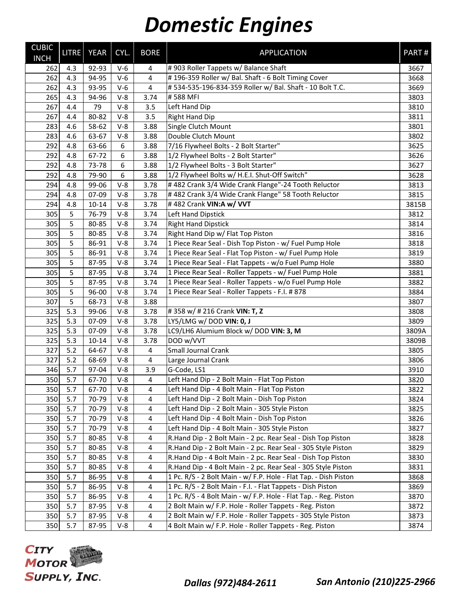| <b>CUBIC</b><br><b>INCH</b> | <b>LITRE</b> | YEAR      | CYL.             | <b>BORE</b>    | <b>APPLICATION</b>                                               | PART# |
|-----------------------------|--------------|-----------|------------------|----------------|------------------------------------------------------------------|-------|
| 262                         | 4.3          | 92-93     | $V-6$            | 4              | #903 Roller Tappets w/ Balance Shaft                             | 3667  |
| 262                         | 4.3          | 94-95     | $V-6$            | $\overline{4}$ | #196-359 Roller w/ Bal. Shaft - 6 Bolt Timing Cover              | 3668  |
| 262                         | 4.3          | 93-95     | $V-6$            | 4              | #534-535-196-834-359 Roller w/ Bal. Shaft - 10 Bolt T.C.         | 3669  |
| 265                         | 4.3          | 94-96     | $V-8$            | 3.74           | #588 MFI                                                         | 3803  |
| 267                         | 4.4          | 79        | $V-8$            | 3.5            | Left Hand Dip                                                    | 3810  |
| 267                         | 4.4          | 80-82     | $V-8$            | 3.5            | <b>Right Hand Dip</b>                                            | 3811  |
| 283                         | 4.6          | 58-62     | $V-8$            | 3.88           | Single Clutch Mount                                              | 3801  |
| 283                         | 4.6          | 63-67     | $V-8$            | 3.88           | Double Clutch Mount                                              | 3802  |
| 292                         | 4.8          | 63-66     | 6                | 3.88           | 7/16 Flywheel Bolts - 2 Bolt Starter"                            | 3625  |
| 292                         | 4.8          | 67-72     | 6                | 3.88           | 1/2 Flywheel Bolts - 2 Bolt Starter"                             | 3626  |
| 292                         | 4.8          | 73-78     | 6                | 3.88           | 1/2 Flywheel Bolts - 3 Bolt Starter"                             | 3627  |
| 292                         | 4.8          | 79-90     | $\boldsymbol{6}$ | 3.88           | 1/2 Flywheel Bolts w/ H.E.I. Shut-Off Switch"                    | 3628  |
| 294                         | 4.8          | 99-06     | $V-8$            | 3.78           | #482 Crank 3/4 Wide Crank Flange"-24 Tooth Reluctor              | 3813  |
| 294                         | 4.8          | 07-09     | $V-8$            | 3.78           | #482 Crank 3/4 Wide Crank Flange" 58 Tooth Reluctor              | 3815  |
| 294                         | 4.8          | $10 - 14$ | $V-8$            | 3.78           | #482 Crank VIN:A w/ VVT                                          | 3815B |
| 305                         | 5            | 76-79     | $V-8$            | 3.74           | Left Hand Dipstick                                               | 3812  |
| 305                         | 5            | 80-85     | $V-8$            | 3.74           | <b>Right Hand Dipstick</b>                                       | 3814  |
| 305                         | 5            | 80-85     | $V-8$            | 3.74           | Right Hand Dip w/ Flat Top Piston                                | 3816  |
| 305                         | 5            | 86-91     | $V-8$            | 3.74           | 1 Piece Rear Seal - Dish Top Piston - w/ Fuel Pump Hole          | 3818  |
| 305                         | 5            | 86-91     | $V-8$            | 3.74           | 1 Piece Rear Seal - Flat Top Piston - w/ Fuel Pump Hole          | 3819  |
| 305                         | 5            | 87-95     | $V-8$            | 3.74           | 1 Piece Rear Seal - Flat Tappets - w/o Fuel Pump Hole            | 3880  |
| 305                         | 5            | 87-95     | $V-8$            | 3.74           | 1 Piece Rear Seal - Roller Tappets - w/ Fuel Pump Hole           | 3881  |
| 305                         | 5            | 87-95     | $V-8$            | 3.74           | 1 Piece Rear Seal - Roller Tappets - w/o Fuel Pump Hole          | 3882  |
| 305                         | 5            | 96-00     | $V-8$            | 3.74           | 1 Piece Rear Seal - Roller Tappets - F.I. # 878                  | 3884  |
| 307                         | 5            | 68-73     | $V-8$            | 3.88           |                                                                  | 3807  |
| 325                         | 5.3          | 99-06     | $V-8$            | 3.78           | #358 w/ #216 Crank VIN: T, Z                                     | 3808  |
| 325                         | 5.3          | 07-09     | $V-8$            | 3.78           | LY5/LMG w/DOD VIN: 0, J                                          | 3809  |
| 325                         | 5.3          | 07-09     | $V-8$            | 3.78           | LC9/LH6 Alumium Block w/ DOD VIN: 3, M                           | 3809A |
| 325                         | 5.3          | $10 - 14$ | $V-8$            | 3.78           | DOD w/VVT                                                        | 3809B |
| 327                         | 5.2          | 64-67     | $V-8$            | $\overline{4}$ | Small Journal Crank                                              | 3805  |
| 327                         | $5.2$        | 68-69     | $V-8$            | $\sqrt{4}$     | Large Journal Crank                                              | 3806  |
| 346                         | 5.7          | 97-04     | $V-8$            | 3.9            | G-Code, LS1                                                      | 3910  |
| 350                         | 5.7          | 67-70     | $V-8$            | 4              | Left Hand Dip - 2 Bolt Main - Flat Top Piston                    | 3820  |
| 350                         | 5.7          | 67-70     | $V-8$            | 4              | Left Hand Dip - 4 Bolt Main - Flat Top Piston                    | 3822  |
| 350                         | 5.7          | 70-79     | $V-8$            | 4              | Left Hand Dip - 2 Bolt Main - Dish Top Piston                    | 3824  |
| 350                         | 5.7          | 70-79     | $V-8$            | 4              | Left Hand Dip - 2 Bolt Main - 305 Style Piston                   | 3825  |
| 350                         | 5.7          | 70-79     | $V-8$            | 4              | Left Hand Dip - 4 Bolt Main - Dish Top Piston                    | 3826  |
| 350                         | 5.7          | 70-79     | $V-8$            | 4              | Left Hand Dip - 4 Bolt Main - 305 Style Piston                   | 3827  |
| 350                         | 5.7          | 80-85     | $V-8$            | 4              | R.Hand Dip - 2 Bolt Main - 2 pc. Rear Seal - Dish Top Piston     | 3828  |
| 350                         | 5.7          | 80-85     | $V-8$            | 4              | R.Hand Dip - 2 Bolt Main - 2 pc. Rear Seal - 305 Style Piston    | 3829  |
| 350                         | 5.7          | 80-85     | $V-8$            | 4              | R.Hand Dip - 4 Bolt Main - 2 pc. Rear Seal - Dish Top Piston     | 3830  |
| 350                         | 5.7          | 80-85     | $V-8$            | 4              | R.Hand Dip - 4 Bolt Main - 2 pc. Rear Seal - 305 Style Piston    | 3831  |
| 350                         | 5.7          | 86-95     | $V-8$            | 4              | 1 Pc. R/S - 2 Bolt Main - w/ F.P. Hole - Flat Tap. - Dish Piston | 3868  |
| 350                         | 5.7          | 86-95     | $V-8$            | 4              | 1 Pc. R/S - 2 Bolt Main - F.I. - Flat Tappets - Dish Piston      | 3869  |
| 350                         | 5.7          | 86-95     | $V-8$            | 4              | 1 Pc. R/S - 4 Bolt Main - w/ F.P. Hole - Flat Tap. - Reg. Piston | 3870  |
| 350                         | 5.7          | 87-95     | $V-8$            | $\overline{4}$ | 2 Bolt Main w/ F.P. Hole - Roller Tappets - Reg. Piston          | 3872  |
| 350                         | 5.7          | 87-95     | $V-8$            | 4              | 2 Bolt Main w/ F.P. Hole - Roller Tappets - 305 Style Piston     | 3873  |
| 350                         | 5.7          | 87-95     | V-8              | 4              | 4 Bolt Main w/ F.P. Hole - Roller Tappets - Reg. Piston          | 3874  |



*Dallas (972)484-2611 San Antonio (210)225-2966*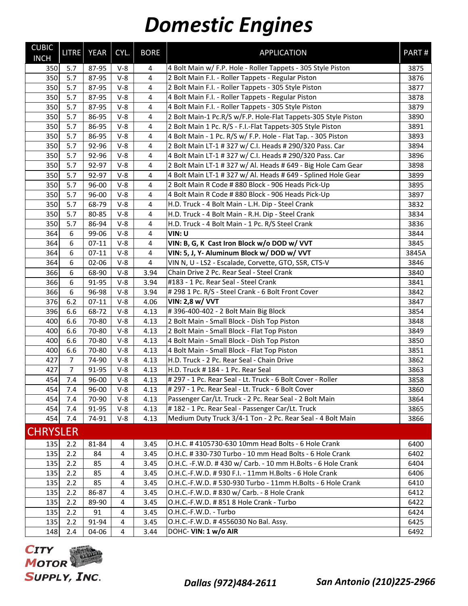| <b>CUBIC</b><br><b>INCH</b> | <b>LITRE</b>     | <b>YEAR</b> | CYL.  | <b>BORE</b>             | <b>APPLICATION</b>                                             | PART# |
|-----------------------------|------------------|-------------|-------|-------------------------|----------------------------------------------------------------|-------|
| 350                         | 5.7              | 87-95       | $V-8$ | 4                       | 4 Bolt Main w/ F.P. Hole - Roller Tappets - 305 Style Piston   | 3875  |
| 350                         | 5.7              | 87-95       | $V-8$ | 4                       | 2 Bolt Main F.I. - Roller Tappets - Regular Piston             | 3876  |
| 350                         | 5.7              | 87-95       | $V-8$ | 4                       | 2 Bolt Main F.I. - Roller Tappets - 305 Style Piston           | 3877  |
| 350                         | 5.7              | 87-95       | $V-8$ | 4                       | 4 Bolt Main F.I. - Roller Tappets - Regular Piston             | 3878  |
| 350                         | 5.7              | 87-95       | $V-8$ | $\overline{4}$          | 4 Bolt Main F.I. - Roller Tappets - 305 Style Piston           | 3879  |
| 350                         | 5.7              | 86-95       | $V-8$ | 4                       | 2 Bolt Main-1 Pc.R/S w/F.P. Hole-Flat Tappets-305 Style Piston | 3890  |
| 350                         | 5.7              | 86-95       | $V-8$ | 4                       | 2 Bolt Main 1 Pc. R/S - F.I.-Flat Tappets-305 Style Piston     | 3891  |
| 350                         | 5.7              | 86-95       | $V-8$ | 4                       | 4 Bolt Main - 1 Pc. R/S w/ F.P. Hole - Flat Tap. - 305 Piston  | 3893  |
| 350                         | 5.7              | 92-96       | $V-8$ | $\overline{4}$          | 2 Bolt Main LT-1 # 327 w/ C.I. Heads # 290/320 Pass. Car       | 3894  |
| 350                         | 5.7              | 92-96       | $V-8$ | $\overline{4}$          | 4 Bolt Main LT-1 # 327 w/ C.I. Heads # 290/320 Pass. Car       | 3896  |
| 350                         | 5.7              | 92-97       | $V-8$ | 4                       | 2 Bolt Main LT-1 # 327 w/ Al. Heads # 649 - Big Hole Cam Gear  | 3898  |
| 350                         | 5.7              | 92-97       | $V-8$ | 4                       | 4 Bolt Main LT-1 # 327 w/ Al. Heads # 649 - Splined Hole Gear  | 3899  |
| 350                         | 5.7              | 96-00       | $V-8$ | $\overline{4}$          | 2 Bolt Main R Code # 880 Block - 906 Heads Pick-Up             | 3895  |
| 350                         | 5.7              | 96-00       | $V-8$ | $\overline{4}$          | 4 Bolt Main R Code # 880 Block - 906 Heads Pick-Up             | 3897  |
| 350                         | 5.7              | 68-79       | $V-8$ | 4                       | H.D. Truck - 4 Bolt Main - L.H. Dip - Steel Crank              | 3832  |
| 350                         | 5.7              | 80-85       | $V-8$ | 4                       | H.D. Truck - 4 Bolt Main - R.H. Dip - Steel Crank              | 3834  |
| 350                         | 5.7              | 86-94       | $V-8$ | $\overline{4}$          | H.D. Truck - 4 Bolt Main - 1 Pc. R/S Steel Crank               | 3836  |
| 364                         | $\boldsymbol{6}$ | 99-06       | $V-8$ | $\overline{4}$          | VIN: U                                                         | 3844  |
| 364                         | $\boldsymbol{6}$ | $07 - 11$   | $V-8$ | 4                       | VIN: B, G, K Cast Iron Block w/o DOD w/ VVT                    | 3845  |
| 364                         | $6\,$            | $07-11$     | $V-8$ | 4                       | VIN: 5, J, Y- Aluminum Block w/ DOD w/ VVT                     | 3845A |
| 364                         | $\boldsymbol{6}$ | 02-06       | $V-8$ | $\overline{\mathbf{4}}$ | VIN N, U - LS2 - Escalade, Corvette, GTO, SSR, CTS-V           | 3846  |
| 366                         | 6                | 68-90       | $V-8$ | 3.94                    | Chain Drive 2 Pc. Rear Seal - Steel Crank                      | 3840  |
| 366                         | 6                | 91-95       | $V-8$ | 3.94                    | #183 - 1 Pc. Rear Seal - Steel Crank                           | 3841  |
| 366                         | 6                | 96-98       | $V-8$ | 3.94                    | # 298 1 Pc. R/S - Steel Crank - 6 Bolt Front Cover             | 3842  |
| 376                         | 6.2              | $07-11$     | $V-8$ | 4.06                    | VIN: 2,8 w/ VVT                                                | 3847  |
| 396                         | 6.6              | 68-72       | $V-8$ | 4.13                    | #396-400-402 - 2 Bolt Main Big Block                           | 3854  |
| 400                         | 6.6              | 70-80       | $V-8$ | 4.13                    | 2 Bolt Main - Small Block - Dish Top Piston                    | 3848  |
| 400                         | 6.6              | 70-80       | $V-8$ | 4.13                    | 2 Bolt Main - Small Block - Flat Top Piston                    | 3849  |
| 400                         | 6.6              | 70-80       | $V-8$ | 4.13                    | 4 Bolt Main - Small Block - Dish Top Piston                    | 3850  |
| 400                         | 6.6              | 70-80       | $V-8$ | 4.13                    | 4 Bolt Main - Small Block - Flat Top Piston                    | 3851  |
| 427                         | 7                | 74-90       | $V-8$ | 4.13                    | H.D. Truck - 2 Pc. Rear Seal - Chain Drive                     | 3862  |
| 427                         | $\overline{7}$   | 91-95       | $V-8$ | 4.13                    | H.D. Truck # 184 - 1 Pc. Rear Seal                             | 3863  |
| 454                         | 7.4              | 96-00       | $V-8$ | 4.13                    | # 297 - 1 Pc. Rear Seal - Lt. Truck - 6 Bolt Cover - Roller    | 3858  |
| 454                         | 7.4              | 96-00       | $V-8$ | 4.13                    | # 297 - 1 Pc. Rear Seal - Lt. Truck - 6 Bolt Cover             | 3860  |
| 454                         | 7.4              | 70-90       | $V-8$ | 4.13                    | Passenger Car/Lt. Truck - 2 Pc. Rear Seal - 2 Bolt Main        | 3864  |
| 454                         | 7.4              | 91-95       | $V-8$ | 4.13                    | # 182 - 1 Pc. Rear Seal - Passenger Car/Lt. Truck              | 3865  |
| 454                         | 7.4              | 74-91       | $V-8$ | 4.13                    | Medium Duty Truck 3/4-1 Ton - 2 Pc. Rear Seal - 4 Bolt Main    | 3866  |
| <b>CHRYSLER</b>             |                  |             |       |                         |                                                                |       |
| 135                         | 2.2              | 81-84       | 4     | 3.45                    | O.H.C. # 4105730-630 10mm Head Bolts - 6 Hole Crank            | 6400  |
| 135                         | 2.2              | 84          | 4     | 3.45                    | O.H.C. # 330-730 Turbo - 10 mm Head Bolts - 6 Hole Crank       | 6402  |
| 135                         | 2.2              | 85          | 4     | 3.45                    | O.H.C. -F.W.D. #430 w/ Carb. - 10 mm H.Bolts - 6 Hole Crank    | 6404  |
| 135                         | 2.2              | 85          | 4     | 3.45                    | O.H.C.-F.W.D. #930 F.I. - 11mm H.Bolts - 6 Hole Crank          | 6406  |
| 135                         | 2.2              | 85          | 4     | 3.45                    | O.H.C.-F.W.D. # 530-930 Turbo - 11mm H.Bolts - 6 Hole Crank    | 6410  |
| 135                         | 2.2              | 86-87       | 4     | 3.45                    | O.H.C.-F.W.D. #830 w/ Carb. - 8 Hole Crank                     | 6412  |
| 135                         | 2.2              | 89-90       | 4     | 3.45                    | O.H.C.-F.W.D. #8518 Hole Crank - Turbo                         | 6422  |
| 135                         | 2.2              | 91          | 4     | 3.45                    | O.H.C.-F.W.D. - Turbo                                          | 6424  |
| 135                         | 2.2              | 91-94       | 4     | 3.45                    | O.H.C.-F.W.D. #4556030 No Bal. Assy.                           | 6425  |
| 148                         | 2.4              | 04-06       | 4     | 3.44                    | DOHC- VIN: 1 w/o AIR                                           | 6492  |

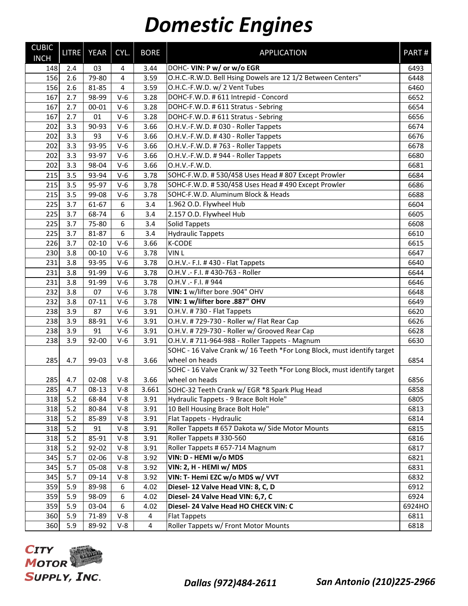| <b>CUBIC</b><br><b>INCH</b> | <b>LITRE</b> | YEAR      | CYL.           | <b>BORE</b> | <b>APPLICATION</b>                                                      | PART#  |
|-----------------------------|--------------|-----------|----------------|-------------|-------------------------------------------------------------------------|--------|
| 148                         | 2.4          | 03        | 4              | 3.44        | DOHC- VIN: P w/ or w/o EGR                                              | 6493   |
| 156                         | 2.6          | 79-80     | $\overline{4}$ | 3.59        | O.H.C.-R.W.D. Bell Hsing Dowels are 12 1/2 Between Centers"             | 6448   |
| 156                         | 2.6          | 81-85     | 4              | 3.59        | O.H.C.-F.W.D. w/ 2 Vent Tubes                                           | 6460   |
| 167                         | 2.7          | 98-99     | $V-6$          | 3.28        | DOHC-F.W.D. # 611 Intrepid - Concord                                    | 6652   |
| 167                         | 2.7          | 00-01     | $V-6$          | 3.28        | DOHC-F.W.D. # 611 Stratus - Sebring                                     | 6654   |
| 167                         | 2.7          | 01        | $V-6$          | 3.28        | DOHC-F.W.D. # 611 Stratus - Sebring                                     | 6656   |
| 202                         | 3.3          | 90-93     | $V-6$          | 3.66        | O.H.V.-F.W.D. # 030 - Roller Tappets                                    | 6674   |
| 202                         | 3.3          | 93        | $V-6$          | 3.66        | O.H.V.-F.W.D. #430 - Roller Tappets                                     | 6676   |
| 202                         | 3.3          | 93-95     | $V-6$          | 3.66        | O.H.V.-F.W.D. #763 - Roller Tappets                                     | 6678   |
| 202                         | 3.3          | 93-97     | $V-6$          | 3.66        | O.H.V.-F.W.D. #944 - Roller Tappets                                     | 6680   |
| 202                         | 3.3          | 98-04     | $V-6$          | 3.66        | O.H.V.-F.W.D.                                                           | 6681   |
| 215                         | 3.5          | 93-94     | $V-6$          | 3.78        | SOHC-F.W.D. #530/458 Uses Head #807 Except Prowler                      | 6684   |
| 215                         | 3.5          | 95-97     | $V-6$          | 3.78        | SOHC-F.W.D. # 530/458 Uses Head # 490 Except Prowler                    | 6686   |
| 215                         | 3.5          | 99-08     | $V-6$          | 3.78        | SOHC-F.W.D. Aluminum Block & Heads                                      | 6688   |
| 225                         | 3.7          | 61-67     | 6              | 3.4         | 1.962 O.D. Flywheel Hub                                                 | 6604   |
| 225                         | 3.7          | 68-74     | 6              | 3.4         | 2.157 O.D. Flywheel Hub                                                 | 6605   |
| 225                         | 3.7          | 75-80     | 6              | 3.4         | <b>Solid Tappets</b>                                                    | 6608   |
| 225                         | 3.7          | 81-87     | 6              | 3.4         | <b>Hydraulic Tappets</b>                                                | 6610   |
| 226                         | 3.7          | $02 - 10$ | $V-6$          | 3.66        | K-CODE                                                                  | 6615   |
| 230                         | 3.8          | $00 - 10$ | $V-6$          | 3.78        | VIN <sub>L</sub>                                                        | 6647   |
| 231                         | 3.8          | 93-95     | $V-6$          | 3.78        | O.H.V. - F.I. #430 - Flat Tappets                                       | 6640   |
| 231                         | 3.8          | 91-99     | $V-6$          | 3.78        | O.H.V .- F.I. # 430-763 - Roller                                        | 6644   |
| 231                         | 3.8          | 91-99     | $V-6$          | 3.78        | O.H.V .- F.I. # 944                                                     | 6646   |
| 232                         | 3.8          | 07        | $V-6$          | 3.78        | VIN: 1 w/lifter bore .904" OHV                                          | 6648   |
| 232                         | 3.8          | $07-11$   | $V-6$          | 3.78        | VIN: 1 w/lifter bore .887" OHV                                          | 6649   |
| 238                         | 3.9          | 87        | $V-6$          | 3.91        | O.H.V. #730 - Flat Tappets                                              | 6620   |
| 238                         | 3.9          | 88-91     | $V-6$          | 3.91        | O.H.V. #729-730 - Roller w/ Flat Rear Cap                               | 6626   |
| 238                         | 3.9          | 91        | $V-6$          | 3.91        | O.H.V. # 729-730 - Roller w/ Grooved Rear Cap                           | 6628   |
| 238                         | 3.9          | 92-00     | $V-6$          | 3.91        | O.H.V. # 711-964-988 - Roller Tappets - Magnum                          | 6630   |
|                             |              |           |                |             | SOHC - 16 Valve Crank w/ 16 Teeth *For Long Block, must identify target |        |
| 285                         | 4.7          | 99-03     | $V-8$          | 3.66        | wheel on heads                                                          | 6854   |
|                             |              |           |                |             | SOHC - 16 Valve Crank w/ 32 Teeth *For Long Block, must identify target |        |
| 285                         | 4.7          | 02-08     | $V-8$          | 3.66        | wheel on heads                                                          | 6856   |
| 285                         | 4.7          | 08-13     | $V-8$          | 3.661       | SOHC-32 Teeth Crank w/ EGR *8 Spark Plug Head                           | 6858   |
| 318                         | 5.2          | 68-84     | $V-8$          | 3.91        | Hydraulic Tappets - 9 Brace Bolt Hole"                                  | 6805   |
| 318                         | 5.2          | 80-84     | $V-8$          | 3.91        | 10 Bell Housing Brace Bolt Hole"                                        | 6813   |
| 318                         | 5.2          | 85-89     | $V-8$          | 3.91        | Flat Tappets - Hydraulic                                                | 6814   |
| 318                         | 5.2          | 91        | $V-8$          | 3.91        | Roller Tappets # 657 Dakota w/ Side Motor Mounts                        | 6815   |
| 318                         | 5.2          | 85-91     | $V-8$          | 3.91        | Roller Tappets # 330-560                                                | 6816   |
| 318                         | 5.2          | $92 - 02$ | $V-8$          | 3.91        | Roller Tappets # 657-714 Magnum                                         | 6817   |
| 345                         | 5.7          | 02-06     | $V-8$          | 3.92        | VIN: D - HEMI w/o MDS                                                   | 6821   |
| 345                         | 5.7          | 05-08     | $V-8$          | 3.92        | VIN: 2, H - HEMI w/ MDS                                                 | 6831   |
| 345                         | 5.7          | 09-14     | $V-8$          | 3.92        | VIN: T- Hemi EZC w/o MDS w/ VVT                                         | 6832   |
| 359                         | 5.9          | 89-98     | 6              | 4.02        | Diesel- 12 Valve Head VIN: 8, C, D                                      | 6912   |
| 359                         | 5.9          | 98-09     | 6              | 4.02        | Diesel- 24 Valve Head VIN: 6,7, C                                       | 6924   |
| 359                         | 5.9          | 03-04     | 6              | 4.02        | Diesel- 24 Valve Head HO CHECK VIN: C                                   | 6924HO |
| 360                         | 5.9          | 71-89     | $V-8$          | 4           | <b>Flat Tappets</b>                                                     | 6811   |
| 360                         | 5.9          | 89-92     | $V-8$          | 4           | Roller Tappets w/ Front Motor Mounts                                    | 6818   |

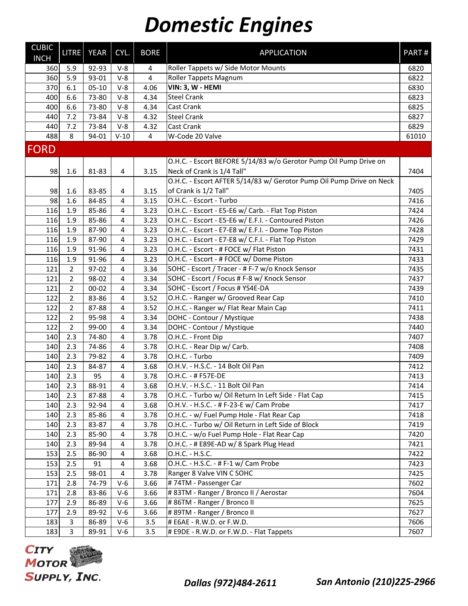| <b>CUBIC</b><br><b>INCH</b> | LITRE          | <b>YEAR</b> | CYL.                    | <b>BORE</b>    | <b>APPLICATION</b>                                                   | PART#            |
|-----------------------------|----------------|-------------|-------------------------|----------------|----------------------------------------------------------------------|------------------|
| 360                         | 5.9            | 92-93       | $V-8$                   | 4              | Roller Tappets w/ Side Motor Mounts                                  | 6820             |
| 360                         | 5.9            | 93-01       | $V-8$                   | $\overline{4}$ | <b>Roller Tappets Magnum</b>                                         | 6822             |
| 370                         | 6.1            | $05-10$     | $V-8$                   | 4.06           | VIN: 3, W - HEMI                                                     | 6830             |
| 400                         | 6.6            | 73-80       | $V-8$                   | 4.34           | <b>Steel Crank</b>                                                   | 6823             |
| 400                         | 6.6            | 73-80       | $V-8$                   | 4.34           | Cast Crank                                                           | 6825             |
| 440                         | 7.2            | 73-84       | $V-8$                   | 4.32           | <b>Steel Crank</b>                                                   | 6827             |
| 440                         | 7.2            | 73-84       | $V-8$                   | 4.32           | <b>Cast Crank</b>                                                    | 6829             |
| 488                         | 8              | 94-01       | $V-10$                  | $\overline{4}$ | W-Code 20 Valve                                                      | 61010            |
| <b>FORD</b>                 |                |             |                         |                |                                                                      |                  |
|                             |                |             |                         |                | O.H.C. - Escort BEFORE 5/14/83 w/o Gerotor Pump Oil Pump Drive on    |                  |
| 98                          | 1.6            | 81-83       | 4                       | 3.15           | Neck of Crank is 1/4 Tall"                                           | 7404             |
|                             |                |             |                         |                | O.H.C. - Escort AFTER 5/14/83 w/ Gerotor Pump Oil Pump Drive on Neck |                  |
| 98                          | 1.6            | 83-85       | 4                       | 3.15           | of Crank is 1/2 Tall"                                                | 7405             |
| 98                          | 1.6            | 84-85       | 4                       | 3.15           | O.H.C. - Escort - Turbo                                              | 7416             |
| 116                         | 1.9            | 85-86       | 4                       | 3.23           | O.H.C. - Escort - E5-E6 w/ Carb. - Flat Top Piston                   | 7424             |
| 116                         | 1.9            | 85-86       | 4                       | 3.23           | O.H.C. - Escort - E5-E6 w/ E.F.I. - Contoured Piston                 | 7426             |
| 116                         | 1.9            | 87-90       | 4                       | 3.23           | O.H.C. - Escort - E7-E8 w/ E.F.I. - Dome Top Piston                  | 7428             |
| 116                         | 1.9            | 87-90       | 4                       | 3.23           | O.H.C. - Escort - E7-E8 w/ C.F.I. - Flat Top Piston                  | 7429             |
| 116                         | 1.9            | 91-96       | 4                       | 3.23           | O.H.C. - Escort - # FOCE w/ Flat Piston                              | 7431             |
| 116                         | 1.9            | 91-96       | 4                       | 3.23           | O.H.C. - Escort - # FOCE w/ Dome Piston                              | 7433             |
| 121                         | $\overline{2}$ | 97-02       | 4                       | 3.34           | SOHC - Escort / Tracer - # F-7 w/o Knock Sensor                      | 7435             |
| 121                         | $\overline{2}$ | 98-02       | 4                       | 3.34           | SOHC - Escort / Focus # F-8 w/ Knock Sensor                          | 7437             |
| 121                         | $\overline{2}$ | $00 - 02$   | 4                       | 3.34           | SOHC - Escort / Focus # YS4E-DA                                      | 7439             |
| 122                         | $\overline{2}$ | 83-86       | 4                       | 3.52           | O.H.C. - Ranger w/ Grooved Rear Cap                                  | 7410             |
| 122                         | $\overline{2}$ | 87-88       | 4                       | 3.52           | O.H.C. - Ranger w/ Flat Rear Main Cap                                | 7411             |
| 122                         | $\overline{2}$ | 95-98       | 4                       | 3.34           | DOHC - Contour / Mystique                                            | 7438             |
| 122                         | $\overline{2}$ | 99-00       | 4                       | 3.34           | DOHC - Contour / Mystique                                            | 7440             |
| 140                         | 2.3            | 74-80       | 4                       | 3.78           | O.H.C. - Front Dip                                                   | 7407             |
| 140                         | 2.3            | 74-86       | 4                       | 3.78           | O.H.C. - Rear Dip w/ Carb.                                           | 7408             |
| 140                         | 2.3            | 79-82       | 4                       | 3.78           | O.H.C. - Turbo                                                       | 7409             |
| 140                         | 2.3            | 84-87       | $\overline{4}$          | 3.68           | O.H.V. - H.S.C. - 14 Bolt Oil Pan                                    | 7412             |
| 140                         | 2.3            | 95          | $\overline{4}$          | 3.78           | O.H.C. - # F57E-DE                                                   | 7413             |
| 140                         | 2.3            | 88-91       | $\overline{\mathbf{4}}$ | 3.68           | O.H.V. - H.S.C. - 11 Bolt Oil Pan                                    | $\frac{1}{7414}$ |
| 140                         | 2.3            | 87-88       | 4                       | 3.78           | O.H.C. - Turbo w/ Oil Return In Left Side - Flat Cap                 | 7415             |
| 140                         | 2.3            | 92-94       | 4                       | 3.68           | O.H.V. - H.S.C. - # F-23-E w/ Cam Probe                              | 7417             |
| 140                         | 2.3            | 85-86       | 4                       | 3.78           | O.H.C. - w/ Fuel Pump Hole - Flat Rear Cap                           | 7418             |
| 140                         | 2.3            | 83-87       | $\overline{4}$          | 3.78           | O.H.C. - Turbo w/ Oil Return in Left Side of Block                   | 7419             |
| 140                         | 2.3            | 85-90       | $\overline{4}$          | 3.78           | O.H.C. - w/o Fuel Pump Hole - Flat Rear Cap                          | 7420             |
| 140                         | 2.3            | 89-94       | 4                       | 3.78           | O.H.C. - # E89E-AD w/ 8 Spark Plug Head                              | 7421             |
| 153                         | 2.5            | 86-90       | 4                       | 3.68           | O.H.C. - H.S.C.                                                      | 7422             |
| 153                         | 2.5            | 91          | 4                       | 3.68           | O.H.C. - H.S.C. - # F-1 w/ Cam Probe                                 | 7423             |
| 153                         | 2.5            | 98-01       | 4                       | 3.78           | Ranger 8 Valve VIN C SOHC                                            | 7425             |
| 171                         | 2.8            | 74-79       | $V-6$                   | 3.66           | #74TM - Passenger Car                                                | 7602             |
| 171                         | 2.8            | 83-86       | $V-6$                   | 3.66           | # 83TM - Ranger / Bronco II / Aerostar                               | 7604             |
| 177                         | 2.9            | 86-89       | $V-6$                   | 3.66           | #86TM - Ranger / Bronco II                                           | 7625             |
| 177                         | 2.9            | 89-92       | $V-6$                   | 3.66           | #89TM - Ranger / Bronco II                                           | 7627             |
| 183                         | $\overline{3}$ | 86-89       | $V-6$                   | 3.5            | # E6AE - R.W.D. or F.W.D.                                            | 7606             |
| 183                         | $\overline{3}$ | 89-91       | $V-6$                   | 3.5            | # E9DE - R.W.D. or F.W.D. - Flat Tappets                             | 7607             |

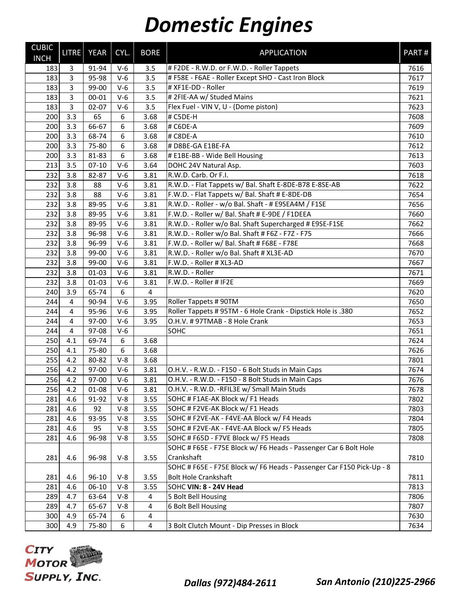| <b>CUBIC</b><br><b>INCH</b> | <b>LITRE</b>   | YEAR      | CYL.  | <b>BORE</b>    | <b>APPLICATION</b>                                                    | PART# |
|-----------------------------|----------------|-----------|-------|----------------|-----------------------------------------------------------------------|-------|
| 183                         | $\mathsf{3}$   | 91-94     | $V-6$ | 3.5            | # F2DE - R.W.D. or F.W.D. - Roller Tappets                            | 7616  |
| 183                         | $\overline{3}$ | 95-98     | $V-6$ | 3.5            | # F58E - F6AE - Roller Except SHO - Cast Iron Block                   | 7617  |
| 183                         | $\overline{3}$ | 99-00     | $V-6$ | 3.5            | # XF1E-DD - Roller                                                    | 7619  |
| 183                         | $\overline{3}$ | $00 - 01$ | $V-6$ | 3.5            | # 2FIE-AA w/ Studed Mains                                             | 7621  |
| 183                         | $\overline{3}$ | $02 - 07$ | $V-6$ | 3.5            | Flex Fuel - VIN V, U - (Dome piston)                                  | 7623  |
| 200                         | 3.3            | 65        | 6     | 3.68           | # C5DE-H                                                              | 7608  |
| 200                         | 3.3            | 66-67     | 6     | 3.68           | # C6DE-A                                                              | 7609  |
| 200                         | 3.3            | 68-74     | 6     | 3.68           | # C8DE-A                                                              | 7610  |
| 200                         | 3.3            | 75-80     | 6     | 3.68           | # D8BE-GA E1BE-FA                                                     | 7612  |
| 200                         | 3.3            | 81-83     | 6     | 3.68           | # E1BE-BB - Wide Bell Housing                                         | 7613  |
| 213                         | 3.5            | $07-10$   | $V-6$ | 3.64           | DOHC 24V Natural Asp.                                                 | 7603  |
| 232                         | 3.8            | 82-87     | $V-6$ | 3.81           | R.W.D. Carb. Or F.I.                                                  | 7618  |
| 232                         | 3.8            | 88        | $V-6$ | 3.81           | R.W.D. - Flat Tappets w/ Bal. Shaft E-8DE-B78 E-8SE-AB                | 7622  |
| 232                         | 3.8            | 88        | $V-6$ | 3.81           | F.W.D. - Flat Tappets w/ Bal. Shaft # E-8DE-DB                        | 7654  |
| 232                         | 3.8            | 89-95     | $V-6$ | 3.81           | R.W.D. - Roller - w/o Bal. Shaft - # E9SEA4M / F1SE                   | 7656  |
| 232                         | 3.8            | 89-95     | $V-6$ | 3.81           | F.W.D. - Roller w/ Bal. Shaft # E-9DE / F1DEEA                        | 7660  |
| 232                         | 3.8            | 89-95     | $V-6$ | 3.81           | R.W.D. - Roller w/o Bal. Shaft Supercharged # E9SE-F1SE               | 7662  |
| 232                         | 3.8            | 96-98     | $V-6$ | 3.81           | R.W.D. - Roller w/o Bal. Shaft # F6Z - F7Z - F75                      | 7666  |
| 232                         | 3.8            | 96-99     | $V-6$ | 3.81           | F.W.D. - Roller w/ Bal. Shaft # F68E - F78E                           | 7668  |
| 232                         | 3.8            | 99-00     | $V-6$ | 3.81           | R.W.D. - Roller w/o Bal. Shaft # XL3E-AD                              | 7670  |
| 232                         | 3.8            | 99-00     | $V-6$ | 3.81           | F.W.D. - Roller # XL3-AD                                              | 7667  |
| 232                         | 3.8            | $01 - 03$ | $V-6$ | 3.81           | R.W.D. - Roller                                                       | 7671  |
| 232                         | 3.8            | $01 - 03$ | $V-6$ | 3.81           | F.W.D. - Roller # IF2E                                                | 7669  |
| 240                         | 3.9            | 65-74     | 6     | $\overline{4}$ |                                                                       | 7620  |
| 244                         | $\overline{4}$ | 90-94     | $V-6$ | 3.95           | Roller Tappets #90TM                                                  | 7650  |
| 244                         | $\overline{4}$ | 95-96     | $V-6$ | 3.95           | Roller Tappets # 95TM - 6 Hole Crank - Dipstick Hole is .380          | 7652  |
| 244                         | $\overline{4}$ | 97-00     | $V-6$ | 3.95           | O.H.V. # 97TMAB - 8 Hole Crank                                        | 7653  |
| 244                         | 4              | 97-08     | $V-6$ |                | SOHC                                                                  | 7651  |
| 250                         | 4.1            | 69-74     | 6     | 3.68           |                                                                       | 7624  |
| 250                         | 4.1            | 75-80     | 6     | 3.68           |                                                                       | 7626  |
| 255                         | 4.2            | 80-82     | $V-8$ | 3.68           |                                                                       | 7801  |
| 256                         | 4.2            | 97-00     | $V-6$ | 3.81           | O.H.V. - R.W.D. - F150 - 6 Bolt Studs in Main Caps                    | 7674  |
| 256                         | 4.2            | 97-00     | $V-6$ | 3.81           | O.H.V. - R.W.D. - F150 - 8 Bolt Studs in Main Caps                    | 7676  |
| 256                         | 4.2            | $01 - 08$ | $V-6$ | 3.81           | O.H.V. - R.W.D. - RFIL3E w/ Small Main Studs                          | 7678  |
| 281                         | 4.6            | 91-92     | $V-8$ | 3.55           | SOHC # F1AE-AK Block w/ F1 Heads                                      | 7802  |
| 281                         | 4.6            | 92        | $V-8$ | 3.55           | SOHC # F2VE-AK Block w/ F1 Heads                                      | 7803  |
| 281                         | 4.6            | 93-95     | $V-8$ | 3.55           | SOHC # F2VE-AK - F4VE-AA Block w/ F4 Heads                            | 7804  |
| 281                         | 4.6            | 95        | $V-8$ | 3.55           | SOHC # F2VE-AK - F4VE-AA Block w/ F5 Heads                            | 7805  |
| 281                         | 4.6            | 96-98     | $V-8$ | 3.55           | SOHC # F65D - F7VE Block w/ F5 Heads                                  | 7808  |
|                             |                |           |       |                | SOHC # F65E - F75E Block w/ F6 Heads - Passenger Car 6 Bolt Hole      |       |
| 281                         | 4.6            | 96-98     | $V-8$ | 3.55           | Crankshaft                                                            | 7810  |
|                             |                |           |       |                | SOHC # F65E - F75E Block w/ F6 Heads - Passenger Car F150 Pick-Up - 8 |       |
| 281                         | 4.6            | 96-10     | $V-8$ | 3.55           | <b>Bolt Hole Crankshaft</b>                                           | 7811  |
| 281                         | 4.6            | 06-10     | $V-8$ | 3.55           | SOHC VIN: 8 - 24V Head                                                | 7813  |
| 289                         | 4.7            | 63-64     | $V-8$ | 4              | 5 Bolt Bell Housing                                                   | 7806  |
| 289                         | 4.7            | 65-67     | $V-8$ | 4              | 6 Bolt Bell Housing                                                   | 7807  |
| 300                         | 4.9            | 65-74     | 6     | $\overline{4}$ |                                                                       | 7630  |
| 300                         | 4.9            | 75-80     | 6     | 4              | 3 Bolt Clutch Mount - Dip Presses in Block                            | 7634  |

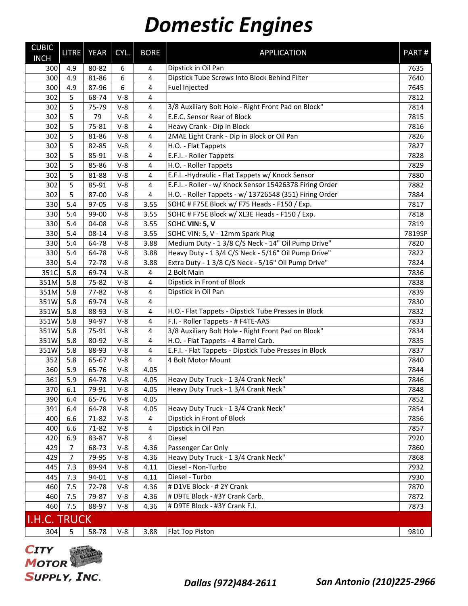| <b>CUBIC</b><br><b>INCH</b> | <b>LITRE</b>   | <b>YEAR</b> | CYL.  | <b>BORE</b>    | <b>APPLICATION</b>                                      | PART#  |
|-----------------------------|----------------|-------------|-------|----------------|---------------------------------------------------------|--------|
| 300                         | 4.9            | 80-82       | 6     | 4              | Dipstick in Oil Pan                                     | 7635   |
| 300                         | 4.9            | 81-86       | 6     | 4              | Dipstick Tube Screws Into Block Behind Filter           | 7640   |
| 300                         | 4.9            | 87-96       | 6     | 4              | <b>Fuel Injected</b>                                    | 7645   |
| 302                         | 5              | 68-74       | $V-8$ | 4              |                                                         | 7812   |
| 302                         | 5              | 75-79       | $V-8$ | 4              | 3/8 Auxiliary Bolt Hole - Right Front Pad on Block"     | 7814   |
| 302                         | 5              | 79          | $V-8$ | $\overline{4}$ | E.E.C. Sensor Rear of Block                             | 7815   |
| 302                         | 5              | 75-81       | $V-8$ | 4              | Heavy Crank - Dip in Block                              | 7816   |
| 302                         | 5              | 81-86       | $V-8$ | 4              | 2MAE Light Crank - Dip in Block or Oil Pan              | 7826   |
| 302                         | 5              | 82-85       | $V-8$ | 4              | H.O. - Flat Tappets                                     | 7827   |
| 302                         | 5              | 85-91       | $V-8$ | 4              | E.F.I. - Roller Tappets                                 | 7828   |
| 302                         | 5              | 85-86       | $V-8$ | 4              | H.O. - Roller Tappets                                   | 7829   |
| 302                         | 5              | 81-88       | $V-8$ | 4              | E.F.I. - Hydraulic - Flat Tappets w/ Knock Sensor       | 7880   |
| 302                         | 5              | 85-91       | $V-8$ | $\overline{4}$ | E.F.I. - Roller - w/ Knock Sensor 15426378 Firing Order | 7882   |
| 302                         | 5              | 87-00       | $V-8$ | 4              | H.O. - Roller Tappets - w/ 13726548 (351) Firing Order  | 7884   |
| 330                         | 5.4            | 97-05       | $V-8$ | 3.55           | SOHC # F75E Block w/ F75 Heads - F150 / Exp.            | 7817   |
| 330                         | 5.4            | 99-00       | $V-8$ | 3.55           | SOHC # F75E Block w/ XL3E Heads - F150 / Exp.           | 7818   |
| 330                         | 5.4            | 04-08       | $V-8$ | 3.55           | SOHC VIN: 5, V                                          | 7819   |
| 330                         | 5.4            | 08-14       | $V-8$ | 3.55           | SOHC VIN: 5, V - 12mm Spark Plug                        | 7819SP |
| 330                         | 5.4            | 64-78       | $V-8$ | 3.88           | Medium Duty - 1 3/8 C/S Neck - 14" Oil Pump Drive"      | 7820   |
| 330                         | 5.4            | 64-78       | $V-8$ | 3.88           | Heavy Duty - 1 3/4 C/S Neck - 5/16" Oil Pump Drive"     | 7822   |
| 330                         | 5.4            | 72-78       | $V-8$ | 3.88           | Extra Duty - 1 3/8 C/S Neck - 5/16" Oil Pump Drive"     | 7824   |
| 351C                        | 5.8            | 69-74       | $V-8$ | $\overline{4}$ | 2 Bolt Main                                             | 7836   |
| 351M                        | 5.8            | 75-82       | $V-8$ | 4              | Dipstick in Front of Block                              | 7838   |
| 351M                        | 5.8            | 77-82       | $V-8$ | 4              | Dipstick in Oil Pan                                     | 7839   |
| 351W                        | 5.8            | 69-74       | $V-8$ | $\overline{4}$ |                                                         | 7830   |
| 351W                        | 5.8            | 88-93       | $V-8$ | 4              | H.O.- Flat Tappets - Dipstick Tube Presses in Block     | 7832   |
| 351W                        | 5.8            | 94-97       | $V-8$ | 4              | F.I. - Roller Tappets - # F4TE-AAS                      | 7833   |
| 351W                        | 5.8            | 75-91       | $V-8$ | 4              | 3/8 Auxiliary Bolt Hole - Right Front Pad on Block"     | 7834   |
| 351W                        | 5.8            | 80-92       | $V-8$ | $\overline{4}$ | H.O. - Flat Tappets - 4 Barrel Carb.                    | 7835   |
| 351W                        | 5.8            | 88-93       | $V-8$ | 4              | E.F.I. - Flat Tappets - Dipstick Tube Presses in Block  | 7837   |
| 352                         | 5.8            | 65-67       | $V-8$ | 4              | 4 Bolt Motor Mount                                      | 7840   |
| 360                         | 5.9            | 65-76       | $V-8$ | 4.05           |                                                         | 7844   |
| 361                         | 5.9            | 64-78       | $V-8$ | 4.05           | Heavy Duty Truck - 1 3/4 Crank Neck"                    | 7846   |
| 370                         | 6.1            | 79-91       | $V-8$ | 4.05           | Heavy Duty Truck - 1 3/4 Crank Neck"                    | 7848   |
| 390                         | 6.4            | 65-76       | $V-8$ | 4.05           |                                                         | 7852   |
| 391                         | 6.4            | 64-78       | $V-8$ | 4.05           | Heavy Duty Truck - 1 3/4 Crank Neck"                    | 7854   |
| 400                         | 6.6            | 71-82       | $V-8$ | $\overline{4}$ | Dipstick in Front of Block                              | 7856   |
| 400                         | 6.6            | 71-82       | $V-8$ | $\overline{4}$ | Dipstick in Oil Pan                                     | 7857   |
| 420                         | 6.9            | 83-87       | $V-8$ | 4              | Diesel                                                  | 7920   |
| 429                         | $\overline{7}$ | 68-73       | $V-8$ | 4.36           | Passenger Car Only                                      | 7860   |
| 429                         | 7              | 79-95       | $V-8$ | 4.36           | Heavy Duty Truck - 1 3/4 Crank Neck"                    | 7868   |
| 445                         | 7.3            | 89-94       | $V-8$ | 4.11           | Diesel - Non-Turbo                                      | 7932   |
| 445                         | 7.3            | 94-01       | $V-8$ | 4.11           | Diesel - Turbo                                          | 7930   |
| 460                         | 7.5            | 72-78       | $V-8$ | 4.36           | # D1VE Block - # 2Y Crank                               | 7870   |
| 460                         | 7.5            | 79-87       | $V-8$ | 4.36           | # D9TE Block - #3Y Crank Carb.                          | 7872   |
| 460                         | 7.5            | 88-97       | $V-8$ | 4.36           | # D9TE Block - #3Y Crank F.I.                           | 7873   |
| <b>I.H.C. TRUCK</b>         |                |             |       |                |                                                         |        |
| 304                         | 5              | 58-78       | $V-8$ | 3.88           | Flat Top Piston                                         | 9810   |

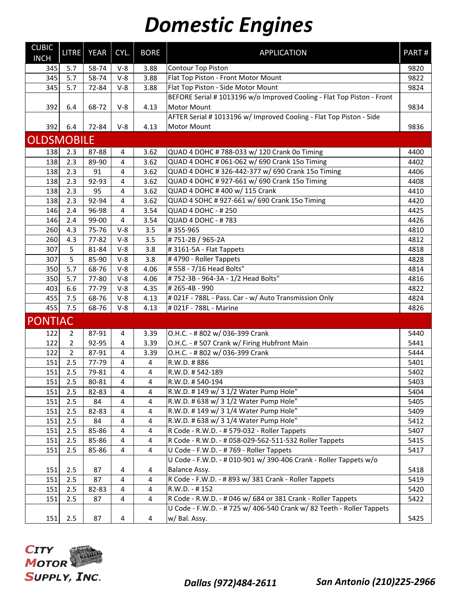| <b>CUBIC</b><br><b>INCH</b> | LITRE          | <b>YEAR</b> | CYL.           | <b>BORE</b>    | <b>APPLICATION</b>                                                    | PART# |
|-----------------------------|----------------|-------------|----------------|----------------|-----------------------------------------------------------------------|-------|
| 345                         | 5.7            | 58-74       | $V-8$          | 3.88           | Contour Top Piston                                                    | 9820  |
| 345                         | 5.7            | 58-74       | $V-8$          | 3.88           | Flat Top Piston - Front Motor Mount                                   | 9822  |
| 345                         | 5.7            | 72-84       | $V-8$          | 3.88           | Flat Top Piston - Side Motor Mount                                    | 9824  |
|                             |                |             |                |                | BEFORE Serial #1013196 w/o Improved Cooling - Flat Top Piston - Front |       |
| 392                         | 6.4            | 68-72       | $V-8$          | 4.13           | <b>Motor Mount</b>                                                    | 9834  |
|                             |                |             |                |                | AFTER Serial # 1013196 w/ Improved Cooling - Flat Top Piston - Side   |       |
| 392                         | 6.4            | 72-84       | $V-8$          | 4.13           | Motor Mount                                                           | 9836  |
| <b>OLDSMOBILE</b>           |                |             |                |                |                                                                       |       |
| 138                         | 2.3            | 87-88       | 4              | 3.62           | QUAD 4 DOHC # 788-033 w/ 120 Crank 0o Timing                          | 4400  |
| 138                         | 2.3            | 89-90       | 4              | 3.62           | QUAD 4 DOHC # 061-062 w/ 690 Crank 15o Timing                         | 4402  |
| 138                         | 2.3            | 91          | 4              | 3.62           | QUAD 4 DOHC # 326-442-377 w/ 690 Crank 15o Timing                     | 4406  |
| 138                         | 2.3            | 92-93       | 4              | 3.62           | QUAD 4 DOHC # 927-661 w/ 690 Crank 15o Timing                         | 4408  |
| 138                         | 2.3            | 95          | 4              | 3.62           | QUAD 4 DOHC # 400 w/ 115 Crank                                        | 4410  |
| 138                         | 2.3            | 92-94       | 4              | 3.62           | QUAD 4 SOHC # 927-661 w/ 690 Crank 15o Timing                         | 4420  |
| 146                         | 2.4            | 96-98       | 4              | 3.54           | <b>QUAD 4 DOHC - #250</b>                                             | 4425  |
| 146                         | 2.4            | 99-00       | $\overline{4}$ | 3.54           | <b>QUAD 4 DOHC - #783</b>                                             | 4426  |
| 260                         | 4.3            | 75-76       | $V-8$          | 3.5            | #355-965                                                              | 4810  |
| 260                         | 4.3            | 77-82       | $V-8$          | 3.5            | #751-2B / 965-2A                                                      | 4812  |
| 307                         | 5              | 81-84       | $V-8$          | 3.8            | #3161-5A - Flat Tappets                                               | 4818  |
| 307                         | 5              | 85-90       | $V-8$          | 3.8            | #4790 - Roller Tappets                                                | 4828  |
| 350                         | 5.7            | 68-76       | $V-8$          | 4.06           | # 558 - 7/16 Head Bolts"                                              | 4814  |
| 350                         | 5.7            | 77-80       | $V-8$          | 4.06           | #752-3B - 964-3A - 1/2 Head Bolts"                                    | 4816  |
| 403                         | 6.6            | 77-79       | $V-8$          | 4.35           | #265-4B - 990                                                         | 4822  |
| 455                         | 7.5            | 68-76       | $V-8$          | 4.13           | # 021F - 788L - Pass. Car - w/ Auto Transmission Only                 | 4824  |
| 455                         | 7.5            | 68-76       | $V-8$          | 4.13           | # 021F - 788L - Marine                                                | 4826  |
| <b>PONTIAC</b>              |                |             |                |                |                                                                       |       |
| 122                         | $\overline{2}$ | 87-91       | 4              | 3.39           | O.H.C. - # 802 w/ 036-399 Crank                                       | 5440  |
| 122                         | $\overline{2}$ | 92-95       | 4              | 3.39           | O.H.C. - # 507 Crank w/ Firing Hubfront Main                          | 5441  |
| 122                         | $\overline{2}$ | 87-91       | 4              | 3.39           | O.H.C. - # 802 w/ 036-399 Crank                                       | 5444  |
| 151                         | 2.5            | 77-79       | 4              | 4              | R.W.D. #886                                                           | 5401  |
| 151                         | 2.5            | 79-81       | 4              | 4              | R.W.D. #542-189                                                       | 5402  |
| 151                         | 2.5            | 80-81       | 4              | 4              | R.W.D. #540-194                                                       | 5403  |
| 151                         | 2.5            | 82-83       | 4              | 4              | R.W.D. #149 w/ 31/2 Water Pump Hole"                                  | 5404  |
| 151                         | 2.5            | 84          | 4              | 4              | R.W.D. # 638 w/ 3 1/2 Water Pump Hole"                                | 5405  |
| 151                         | 2.5            | 82-83       | 4              | 4              | R.W.D. #149 w/ 31/4 Water Pump Hole"                                  | 5409  |
| 151                         | 2.5            | 84          | 4              | 4              | R.W.D. # 638 w/ 3 1/4 Water Pump Hole"                                | 5412  |
| 151                         | 2.5            | 85-86       | 4              | 4              | R Code - R.W.D. - # 579-032 - Roller Tappets                          | 5407  |
| 151                         | 2.5            | 85-86       | 4              | 4              | R Code - R.W.D. - # 058-029-562-511-532 Roller Tappets                | 5415  |
| 151                         | 2.5            | 85-86       | 4              | 4              | U Code - F.W.D. - #769 - Roller Tappets                               | 5417  |
|                             |                |             |                |                | U Code - F.W.D. - # 010-901 w/ 390-406 Crank - Roller Tappets w/o     |       |
| 151                         | 2.5            | 87          | 4              | 4              | Balance Assy.                                                         | 5418  |
| 151                         | 2.5            | 87          | 4              | 4              | R Code - F.W.D. - # 893 w/ 381 Crank - Roller Tappets                 | 5419  |
| 151                         | 2.5            | 82-83       | 4              | 4              | R.W.D. - #152                                                         | 5420  |
| 151                         | 2.5            | 87          | 4              | $\overline{4}$ | R Code - R.W.D. - # 046 w/ 684 or 381 Crank - Roller Tappets          | 5422  |
|                             |                |             |                |                | U Code - F.W.D. - # 725 w/ 406-540 Crank w/ 82 Teeth - Roller Tappets |       |
| 151                         | 2.5            | 87          | 4              | 4              | w/ Bal. Assy.                                                         | 5425  |